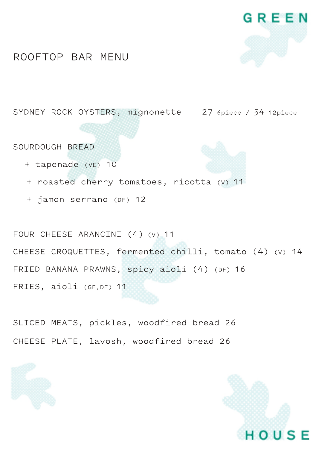

#### ROOFTOP BAR MENU

SYDNEY ROCK OYSTERS, mignonette 27 6piece / 54 12piece

SOURDOUGH BREAD

- + tapenade (VE) 10
- + roasted cherry tomatoes, ricotta (v) 11
- + jamon serrano (DF) 12

FOUR CHEESE ARANCINI (4) (v) 11 CHEESE CROQUETTES, fermented chilli, tomato (4) (v) 14 FRIED BANANA PRAWNS, spicy aioli (4) (DF) 16 FRIES, aioli (GF, DF) 11

SLICED MEATS, pickles, woodfired bread 26 CHEESE PLATE, lavosh, woodfired bread 26

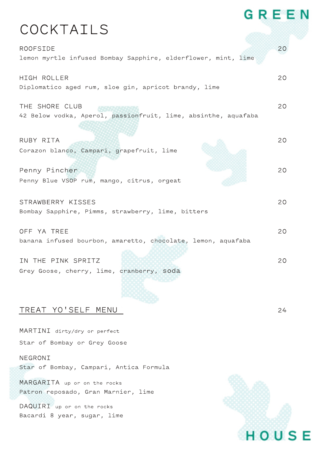# **COCKTAILS**

| <b>ROOFSIDE</b><br>lemon myrtle infused Bombay Sapphire, elderflower, mint, lime | 20 |
|----------------------------------------------------------------------------------|----|
| HIGH ROLLER<br>Diplomatico aged rum, sloe gin, apricot brandy, lime              | 20 |
| THE SHORE CLUB<br>42 Below vodka, Aperol, passionfruit, lime, absinthe, aquafaba | 20 |
| RUBY RITA<br>Corazon blanco, Campari, grapefruit, lime                           | 20 |
| Penny Pincher<br>Penny Blue VSOP rum, mango, citrus, orgeat                      | 20 |
| STRAWBERRY KISSES<br>Bombay Sapphire, Pimms, strawberry, lime, bitters           | 20 |
| OFF YA TREE<br>banana infused bourbon, amaretto, chocolate, lemon, aquafaba      | 20 |
| IN THE PINK SPRITZ<br>Grey Goose, cherry, lime, cranberry, soda                  | 20 |

## TREAT YO' SELF MENU 24

MARTINI dirty/dry or perfect Star of Bombay or Grey Goose

NEGRONI Star of Bombay, Campari, Antica Formula

MARGARITA up or on the rocks Patron reposado, Gran Marnier, lime

DAQUIRI up or on the rocks Bacardi 8 year, sugar, lime



GREEN